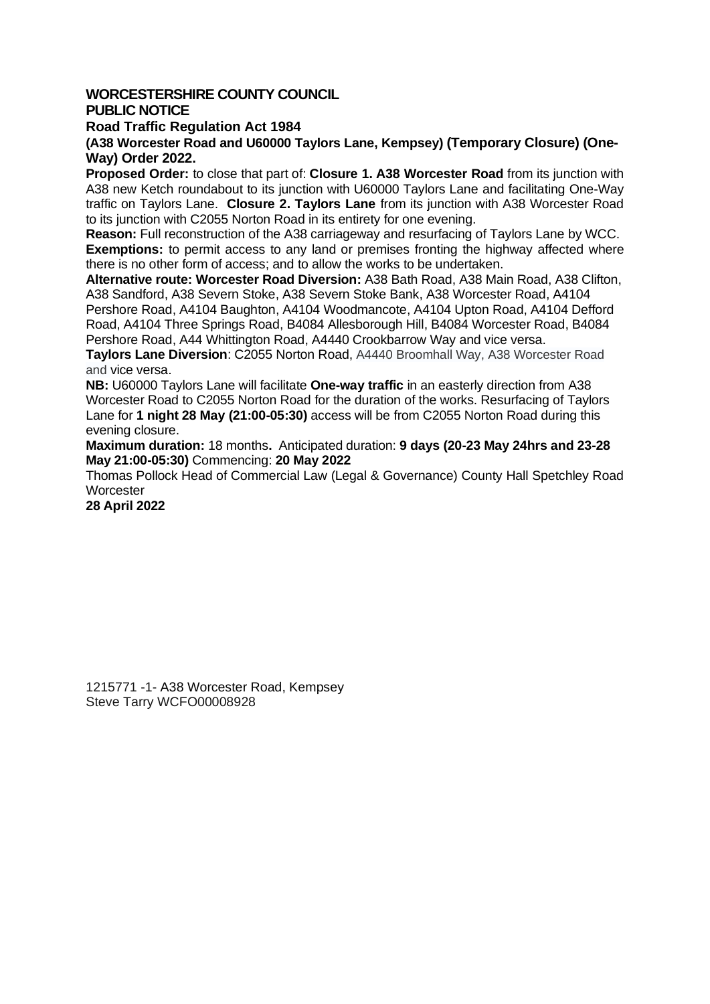## **WORCESTERSHIRE COUNTY COUNCIL PUBLIC NOTICE**

## **Road Traffic Regulation Act 1984**

**(A38 Worcester Road and U60000 Taylors Lane, Kempsey) (Temporary Closure) (One-Way) Order 2022.** 

**Proposed Order:** to close that part of: **Closure 1. A38 Worcester Road** from its junction with A38 new Ketch roundabout to its junction with U60000 Taylors Lane and facilitating One-Way traffic on Taylors Lane. **Closure 2. Taylors Lane** from its junction with A38 Worcester Road to its junction with C2055 Norton Road in its entirety for one evening.

**Reason:** Full reconstruction of the A38 carriageway and resurfacing of Taylors Lane by WCC. **Exemptions:** to permit access to any land or premises fronting the highway affected where there is no other form of access; and to allow the works to be undertaken.

**Alternative route: Worcester Road Diversion:** A38 Bath Road, A38 Main Road, A38 Clifton, A38 Sandford, A38 Severn Stoke, A38 Severn Stoke Bank, A38 Worcester Road, A4104 Pershore Road, A4104 Baughton, A4104 Woodmancote, A4104 Upton Road, A4104 Defford Road, A4104 Three Springs Road, B4084 Allesborough Hill, B4084 Worcester Road, B4084 Pershore Road, A44 Whittington Road, A4440 Crookbarrow Way and vice versa.

**Taylors Lane Diversion**: C2055 Norton Road, A4440 Broomhall Way, A38 Worcester Road and vice versa.

**NB:** U60000 Taylors Lane will facilitate **One-way traffic** in an easterly direction from A38 Worcester Road to C2055 Norton Road for the duration of the works. Resurfacing of Taylors Lane for **1 night 28 May (21:00-05:30)** access will be from C2055 Norton Road during this evening closure.

**Maximum duration:** 18 months**.** Anticipated duration: **9 days (20-23 May 24hrs and 23-28 May 21:00-05:30)** Commencing: **20 May 2022**

Thomas Pollock Head of Commercial Law (Legal & Governance) County Hall Spetchley Road **Worcester** 

**28 April 2022**

1215771 -1- A38 Worcester Road, Kempsey Steve Tarry WCFO00008928